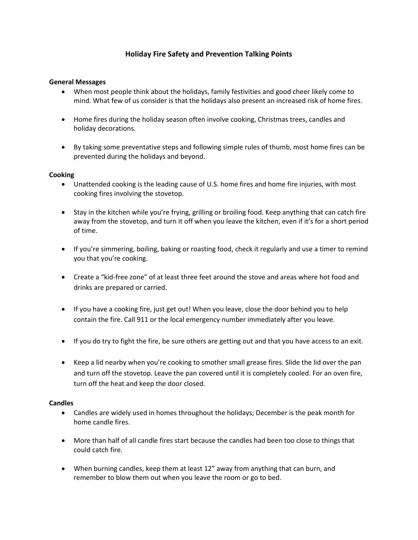# **Holiday Fire Safety and Prevention Talking Points**

## **General Messages**

- When most people think about the holidays, family festivities and good cheer likely come to mind. What few of us consider is that the holidays also present an increased risk of home fires.
- Home fires during the holiday season often involve cooking, Christmas trees, candles and holiday decorations.
- By taking some preventative steps and following simple rules of thumb, most home fires can be prevented during the holidays and beyond.

### **Cooking**

- Unattended cooking is the leading cause of U.S. home fires and home fire injuries, with most cooking fires involving the stovetop.
- Stay in the kitchen while you're frying, grilling or broiling food. Keep anything that can catch fire away from the stovetop, and turn it off when you leave the kitchen, even if it's for a short period of time.
- If you're simmering, boiling, baking or roasting food, check it regularly and use a timer to remind you that you're cooking.
- Create a "kid-free zone" of at least three feet around the stove and areas where hot food and drinks are prepared or carried.
- If you have a cooking fire, just get out! When you leave, close the door behind you to help contain the fire. Call 911 or the local emergency number immediately after you leave.
- If you do try to fight the fire, be sure others are getting out and that you have access to an exit.
- Keep a lid nearby when you're cooking to smother small grease fires. Slide the lid over the pan and turn off the stovetop. Leave the pan covered until it is completely cooled. For an oven fire, turn off the heat and keep the door closed.

#### **Candles**

- Candles are widely used in homes throughout the holidays; December is the peak month for home candle fires.
- More than half of all candle fires start because the candles had been too close to things that could catch fire.
- When burning candles, keep them at least 12" away from anything that can burn, and remember to blow them out when you leave the room or go to bed.